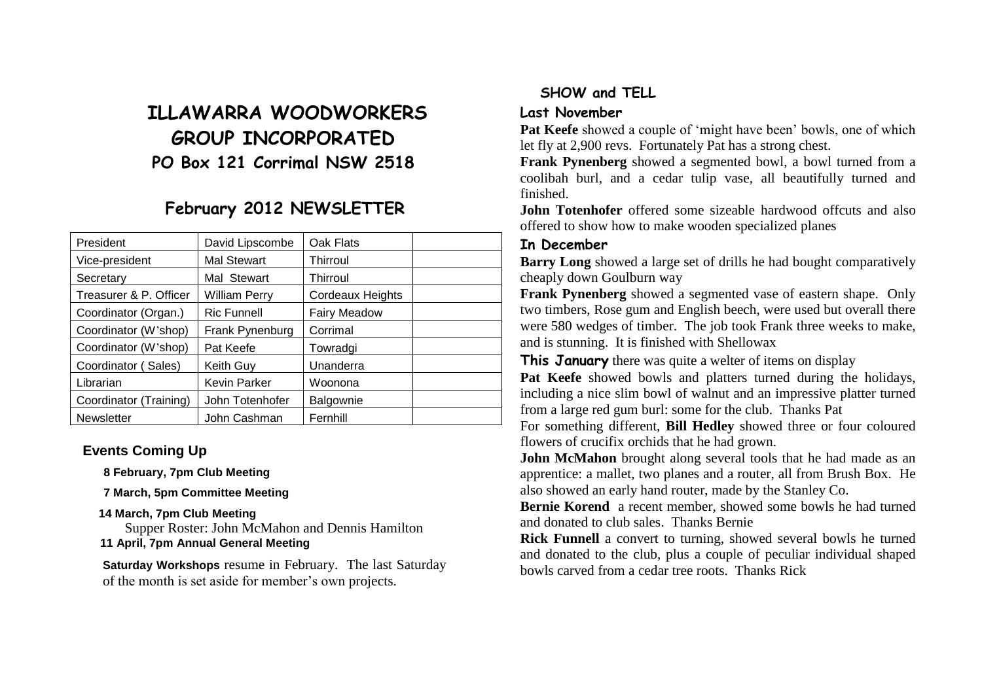# **ILLAWARRA WOODWORKERS GROUP INCORPORATED PO Box 121 Corrimal NSW 2518**

# **February 2012 NEWSLETTER**

| President              | David Lipscombe     | Oak Flats           |  |
|------------------------|---------------------|---------------------|--|
| Vice-president         | <b>Mal Stewart</b>  | Thirroul            |  |
| Secretary              | Mal Stewart         | Thirroul            |  |
| Treasurer & P. Officer | William Perry       | Cordeaux Heights    |  |
| Coordinator (Organ.)   | <b>Ric Funnell</b>  | <b>Fairy Meadow</b> |  |
| Coordinator (W'shop)   | Frank Pynenburg     | Corrimal            |  |
| Coordinator (W'shop)   | Pat Keefe           | Towradgi            |  |
| Coordinator (Sales)    | Keith Guy           | Unanderra           |  |
| Librarian              | <b>Kevin Parker</b> | Woonona             |  |
| Coordinator (Training) | John Totenhofer     | Balgownie           |  |
| <b>Newsletter</b>      | John Cashman        | Fernhill            |  |

#### **Events Coming Up**

**8 February, 7pm Club Meeting**

**7 March, 5pm Committee Meeting**

#### **14 March, 7pm Club Meeting**

Supper Roster: John McMahon and Dennis Hamilton **11 April, 7pm Annual General Meeting**

**Saturday Workshops** resume in February. The last Saturday of the month is set aside for member's own projects.

# **SHOW and TELL**

#### **Last November**

**Pat Keefe** showed a couple of 'might have been' bowls, one of which let fly at 2,900 revs. Fortunately Pat has a strong chest.

**Frank Pynenberg** showed a segmented bowl, a bowl turned from a coolibah burl, and a cedar tulip vase, all beautifully turned and finished.

**John Totenhofer** offered some sizeable hardwood offcuts and also offered to show how to make wooden specialized planes

#### **In December**

**Barry Long** showed a large set of drills he had bought comparatively cheaply down Goulburn way

**Frank Pynenberg** showed a segmented vase of eastern shape. Only two timbers, Rose gum and English beech, were used but overall there were 580 wedges of timber. The job took Frank three weeks to make, and is stunning. It is finished with Shellowax

**This January** there was quite a welter of items on display

**Pat Keefe** showed bowls and platters turned during the holidays, including a nice slim bowl of walnut and an impressive platter turned from a large red gum burl: some for the club. Thanks Pat

For something different, **Bill Hedley** showed three or four coloured flowers of crucifix orchids that he had grown.

**John McMahon** brought along several tools that he had made as an apprentice: a mallet, two planes and a router, all from Brush Box. He also showed an early hand router, made by the Stanley Co.

**Bernie Korend** a recent member, showed some bowls he had turned and donated to club sales. Thanks Bernie

**Rick Funnell** a convert to turning, showed several bowls he turned and donated to the club, plus a couple of peculiar individual shaped bowls carved from a cedar tree roots. Thanks Rick